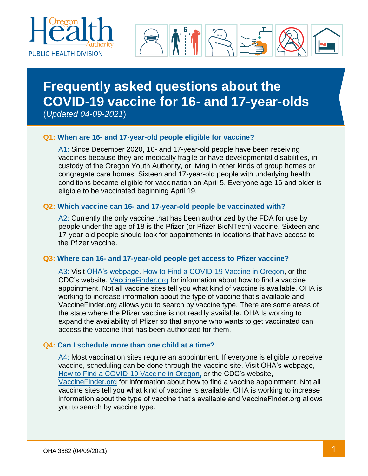



# **Frequently asked questions about the COVID-19 vaccine for 16- and 17-year-olds**

(*Updated 04-09-2021*)

## **Q1: When are 16- and 17-year-old people eligible for vaccine?**

A1: Since December 2020, 16- and 17-year-old people have been receiving vaccines because they are medically fragile or have developmental disabilities, in custody of the Oregon Youth Authority, or living in other kinds of group homes or congregate care homes. Sixteen and 17-year-old people with underlying health conditions became eligible for vaccination on April 5. Everyone age 16 and older is eligible to be vaccinated beginning April 19.

## **Q2: Which vaccine can 16- and 17-year-old people be vaccinated with?**

A2: Currently the only vaccine that has been authorized by the FDA for use by people under the age of 18 is the Pfizer (or Pfizer BioNTech) vaccine. Sixteen and 17-year-old people should look for appointments in locations that have access to the Pfizer vaccine.

### **Q3: Where can 16- and 17-year-old people get access to Pfizer vaccine?**

A3: Visit [OHA's webpage,](https://covidvaccine.oregon.gov/) [How to Find a COVID-19 Vaccine in Oregon,](https://govstatus.egov.com/find-covid-19-vaccine) or the CDC's website, [VaccineFinder.org](https://www.cdc.gov/vaccines/covid-19/reporting/vaccinefinder/about.html) for information about how to find a vaccine appointment. Not all vaccine sites tell you what kind of vaccine is available. OHA is working to increase information about the type of vaccine that's available and VaccineFinder.org allows you to search by vaccine type. There are some areas of the state where the Pfizer vaccine is not readily available. OHA Is working to expand the availability of Pfizer so that anyone who wants to get vaccinated can access the vaccine that has been authorized for them.

### **Q4: Can I schedule more than one child at a time?**

A4: Most vaccination sites require an appointment. If everyone is eligible to receive vaccine, scheduling can be done through the vaccine site. Visit OHA's webpage, [How to Find a COVID-19 Vaccine in Oregon,](https://govstatus.egov.com/find-covid-19-vaccine) or the CDC's website, [VaccineFinder.org](https://www.cdc.gov/vaccines/covid-19/reporting/vaccinefinder/about.html) for information about how to find a vaccine appointment. Not all vaccine sites tell you what kind of vaccine is available. OHA is working to increase information about the type of vaccine that's available and VaccineFinder.org allows you to search by vaccine type.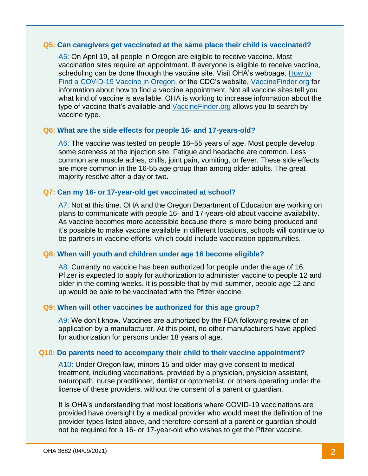#### **Q5: Can caregivers get vaccinated at the same place their child is vaccinated?**

A5: On April 19, all people in Oregon are eligible to receive vaccine. Most vaccination sites require an appointment. If everyone is eligible to receive vaccine, scheduling can be done through the vaccine site. Visit OHA's webpage, [How to](https://govstatus.egov.com/find-covid-19-vaccine/)  [Find a COVID-19 Vaccine in Oregon,](https://govstatus.egov.com/find-covid-19-vaccine/) or the CDC's website, [VaccineFinder.org](https://vaccinefinder.org/) for information about how to find a vaccine appointment. Not all vaccine sites tell you what kind of vaccine is available. OHA is working to increase information about the type of vaccine that's available and [VaccineFinder.org](https://vaccinefinder.org/) allows you to search by vaccine type.

### **Q6: What are the side effects for people 16- and 17-years-old?**

A6: The vaccine was tested on people 16–55 years of age. Most people develop some soreness at the injection site. Fatigue and headache are common. Less common are muscle aches, chills, joint pain, vomiting, or fever. These side effects are more common in the 16-55 age group than among older adults. The great majority resolve after a day or two.

#### **Q7: Can my 16- or 17-year-old get vaccinated at school?**

A7: Not at this time. OHA and the Oregon Department of Education are working on plans to communicate with people 16- and 17-years-old about vaccine availability. As vaccine becomes more accessible because there is more being produced and it's possible to make vaccine available in different locations, schools will continue to be partners in vaccine efforts, which could include vaccination opportunities.

### **Q8: When will youth and children under age 16 become eligible?**

A8: Currently no vaccine has been authorized for people under the age of 16. Pfizer is expected to apply for authorization to administer vaccine to people 12 and older in the coming weeks. It is possible that by mid-summer, people age 12 and up would be able to be vaccinated with the Pfizer vaccine.

### **Q9: When will other vaccines be authorized for this age group?**

A9: We don't know. Vaccines are authorized by the FDA following review of an application by a manufacturer. At this point, no other manufacturers have applied for authorization for persons under 18 years of age.

#### **Q10: Do parents need to accompany their child to their vaccine appointment?**

A10: Under Oregon law, minors 15 and older may give consent to medical treatment, including vaccinations, provided by a physician, physician assistant, naturopath, nurse practitioner, dentist or optometrist, or others operating under the license of these providers, without the consent of a parent or guardian.

It is OHA's understanding that most locations where COVID-19 vaccinations are provided have oversight by a medical provider who would meet the definition of the provider types listed above, and therefore consent of a parent or guardian should not be required for a 16- or 17-year-old who wishes to get the Pfizer vaccine.